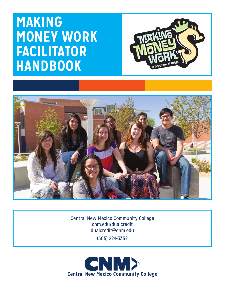# **MAKING MONEY WORK FACILITATOR HANDBOOK**





Central New Mexico Community College cnm.edu/dualcredit dualcredit@cnm.edu (505) 224-3352

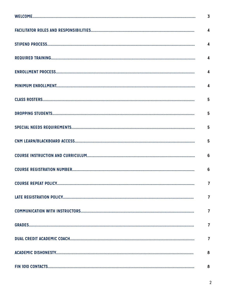| $\overline{\mathbf{4}}$ |
|-------------------------|
|                         |
|                         |
| 5                       |
| 5                       |
|                         |
|                         |
| $6\phantom{1}6$         |
| $\overline{7}$          |
| $\overline{7}$          |
| 7                       |
| 7                       |
| 7                       |
| 8                       |
| 8                       |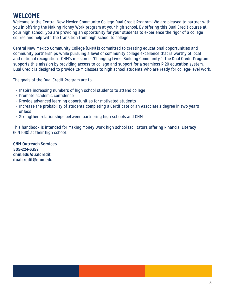# **WELCOME**

Welcome to the Central New Mexico Community College Dual Credit Program! We are pleased to partner with you in offering the Making Money Work program at your high school. By offering this Dual Credit course at your high school, you are providing an opportunity for your students to experience the rigor of a college course and help with the transition from high school to college.

Central New Mexico Community College (CNM) is committed to creating educational opportunities and community partnerships while pursuing a level of community college excellence that is worthy of local and national recognition. CNM's mission is "Changing Lives, Building Community." The Dual Credit Program supports this mission by providing access to college and support for a seamless P-20 education system. Dual Credit is designed to provide CNM classes to high school students who are ready for college-level work.

The goals of the Dual Credit Program are to:

- Inspire increasing numbers of high school students to attend college
- Promote academic confidence
- Provide advanced learning opportunities for motivated students
- Increase the probability of students completing a Certificate or an Associate's degree in two years or less
- Strengthen relationships between partnering high schools and CNM

This handbook is intended for Making Money Work high school facilitators offering Financial Literacy (FIN 1010) at their high school.

**CNM Outreach Services 505-224-3352 cnm.edu/dualcredit dualcredit@cnm.edu**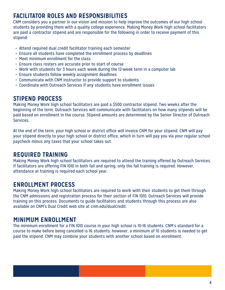# **FACILITATOR ROLES AND RESPONSIBILITIES**

CNM considers you a partner in our vision and mission to help improve the outcomes of our high school students by providing them with a quality college experience. Making Money Work high school facilitators are paid a contractor stipend and are responsible for the following in order to receive payment of this stipend:

- Attend required dual credit facilitator training each semester
- Ensure all students have completed the enrollment process by deadlines
- Meet minimum enrollment for the class
- Ensure class rosters are accurate prior to start of course
- Work with students for 3 hours each week during the 12-week term in a computer lab
- Ensure students follow weekly assignment deadlines
- Communicate with CNM instructor to provide support to students
- Coordinate with Outreach Services if any students have enrollment issues

### **STIPEND PROCESS**

Making Money Work high school facilitators are paid a \$500 contractor stipend. Two weeks after the beginning of the term, Outreach Services will communicate with facilitators on how many stipends will be paid based on enrollment in the course. Stipend amounts are determined by the Senior Director of Outreach Services.

At the end of the term, your high school or district office will invoice CNM for your stipend. CNM will pay your stipend directly to your high school or district office, which in turn will pay you via your regular school paycheck minus any taxes that your school takes out.

# **REQUIRED TRAINING**

Making Money Work high school facilitators are required to attend the training offered by Outreach Services. If facilitators are offering FIN 1010 in both fall and spring, only the fall training is required. However, attendance at training is required each school year.

# **ENROLLMENT PROCESS**

Making Money Work high school facilitators are required to work with their students to get them through the CNM admissions and registration process for their section of FIN 1010. Outreach Services will provide training on this process. Documents to guide facilitators and students through this process are also available on CNM's Dual Credit web site at cnm.edu/dualcredit.

# **MINIMUM ENROLLMENT**

The minimum enrollment for a FIN 1010 course in your high school is 10-16 students. CNM's standard for a course to make before being cancelled is 16 students, however, a minimum of 10 students is needed to get paid the stipend. CNM may combine your students with another school based on enrollment.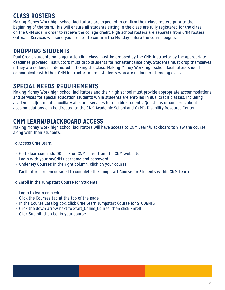### **CLASS ROSTERS**

Making Money Work high school facilitators are expected to confirm their class rosters prior to the beginning of the term. This will ensure all students sitting in the class are fully registered for the class on the CNM side in order to receive the college credit. High school rosters are separate from CNM rosters. Outreach Services will send you a roster to confirm the Monday before the course begins.

# **DROPPING STUDENTS**

Dual Credit students no longer attending class must be dropped by the CNM instructor by the appropriate deadlines provided. Instructors must drop students for nonattendance only. Students must drop themselves if they are no longer interested in taking the class. Making Money Work high school facilitators should communicate with their CNM instructor to drop students who are no longer attending class.

### **SPECIAL NEEDS REQUIREMENTS**

Making Money Work high school facilitators and their high school must provide appropriate accommodations and services for special education students while students are enrolled in dual credit classes, including academic adjustments, auxiliary aids and services for eligible students. Questions or concerns about accommodations can be directed to the CNM Academic School and CNM's Disability Resource Center.

### **CNM LEARN/BLACKBOARD ACCESS**

Making Money Work high school facilitators will have access to CNM Learn/Blackboard to view the course along with their students.

To Access CNM Learn:

- Go to learn.cnm.edu OR click on CNM Learn from the CNM web site
- Login with your myCNM username and password
- Under My Courses in the right column, click on your course

Facilitators are encouraged to complete the Jumpstart Course for Students within CNM Learn.

To Enroll in the Jumpstart Course for Students:

- Login to learn.cnm.edu
- Click the Courses tab at the top of the page
- In the Course Catalog box, click CNM Learn Jumpstart Course for STUDENTS
- Click the down arrow next to Start Online Course, then click Enroll
- Click Submit, then begin your course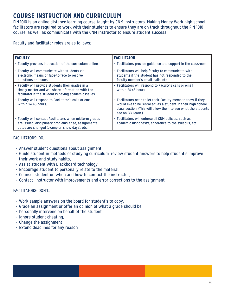# **COURSE INSTRUCTION AND CURRICULUM**

FIN 1010 is an online distance learning course taught by CNM instructors. Making Money Work high school facilitators are required to work with their students to ensure they are on track throughout the FIN 1010 course, as well as communicate with the CNM instructor to ensure student success.

#### Faculty and facilitator roles are as follows:

| <b>FACULTY</b>                                                                                                                                                  | <b>FACILITATOR</b>                                                                                                                                                                                                  |
|-----------------------------------------------------------------------------------------------------------------------------------------------------------------|---------------------------------------------------------------------------------------------------------------------------------------------------------------------------------------------------------------------|
| • Faculty provides instruction of the curriculum online.                                                                                                        | • Facilitators provide guidance and support in the classroom.                                                                                                                                                       |
| • Faculty will communicate with students via<br>electronic means or face-to-face to resolve<br>questions or issues.                                             | • Facilitators will help faculty to communicate with<br>students if the student has not responded to the<br>faculty member's email, calls, etc.                                                                     |
| • Faculty will provide students their grades in a<br>timely matter and will share information with the<br>facilitator if the student is having academic issues. | • Facilitators will respond to Faculty's calls or email<br>within 24-48 hours.                                                                                                                                      |
| • Faculty will respond to Facilitator's calls or email<br>within 24-48 hours.                                                                                   | • Facilitators need to let their Faculty member know if they<br>would like to be "enrolled" as a student in their high school<br>class section. (This will allow them to see what the students<br>see on BB Learn.) |
| • Faculty will contact Facilitators when midterm grades<br>are issued, disciplinary problems arise, assignments<br>dates are changed (example: snow days), etc. | · Facilitators will enforce all CNM policies, such as<br>Academic Dishonesty, adherence to the syllabus, etc.                                                                                                       |

#### FACILITATORS: DO…

- Answer student questions about assignment,
- Guide student in methods of studying curriculum, review student answers to help student's improve their work and study habits,
- Assist student with Blackboard technology,
- Encourage student to personally relate to the material,
- Counsel student on when and how to contact the instructor,
- Contact instructor with improvements and error corrections to the assignment

#### FACILITATORS: DON'T…

- Work sample answers on the board for student's to copy,
- Grade an assignment or offer an opinion of what a grade should be,
- Personally intervene on behalf of the student,
- Ignore student cheating,
- Change the assignment
- Extend deadlines for any reason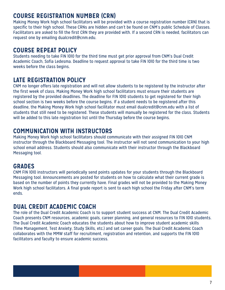### **COURSE REGISTRATION NUMBER (CRN)**

Making Money Work high school facilitators will be provided with a course registration number (CRN) that is specific to their high school. These CRNs are hidden and can't be found on CNM's public Schedule of Classes. Facilitators are asked to fill the first CRN they are provided with. If a second CRN is needed, facilitators can request one by emailing dualcredit@cnm.edu.

### **COURSE REPEAT POLICY**

Students needing to take FIN 1010 for the third time must get prior approval from CNM's Dual Credit Academic Coach, Sofia Ledesma. Deadline to request approval to take FIN 1010 for the third time is two weeks before the class begins.

### **LATE REGISTRATION POLICY**

CNM no longer offers late registration and will not allow students to be registered by the instructor after the first week of class. Making Money Work high school facilitators must ensure their students are registered by the provided deadlines. The deadline for FIN 1010 students to get registered for their high school section is two weeks before the course begins. If a student needs to be registered after this deadline, the Making Money Work high school facilitator must email dualcredit@cnm.edu with a list of students that still need to be registered. These students will manually be registered for the class. Students will be added to this late registration list until the Thursday before the course begins.

### **COMMUNICATION WITH INSTRUCTORS**

Making Money Work high school facilitators should communicate with their assigned FIN 1010 CNM instructor through the Blackboard Messaging tool. The instructor will not send communication to your high school email address. Students should also communicate with their instructor through the Blackboard Messaging tool.

# **GRADES**

CNM FIN 1010 instructors will periodically send points updates for your students through the Blackboard Messaging tool. Announcements are posted for students on how to calculate what their current grade is based on the number of points they currently have. Final grades will not be provided to the Making Money Work high school facilitators. A final grade report is sent to each high school the Friday after CNM's term ends.

### **DUAL CREDIT ACADEMIC COACH**

The role of the Dual Credit Academic Coach is to support student success at CNM. The Dual Credit Academic Coach presents CNM resources, academic goals, career planning, and general resources to FIN 1010 students. The Dual Credit Academic Coach educates the students about how to improve student academic skills (Time Management, Test Anxiety, Study Skills, etc.) and set career goals. The Dual Credit Academic Coach collaborates with the MMW staff for recruitment, registration and retention, and supports the FIN 1010 facilitators and faculty to ensure academic success.